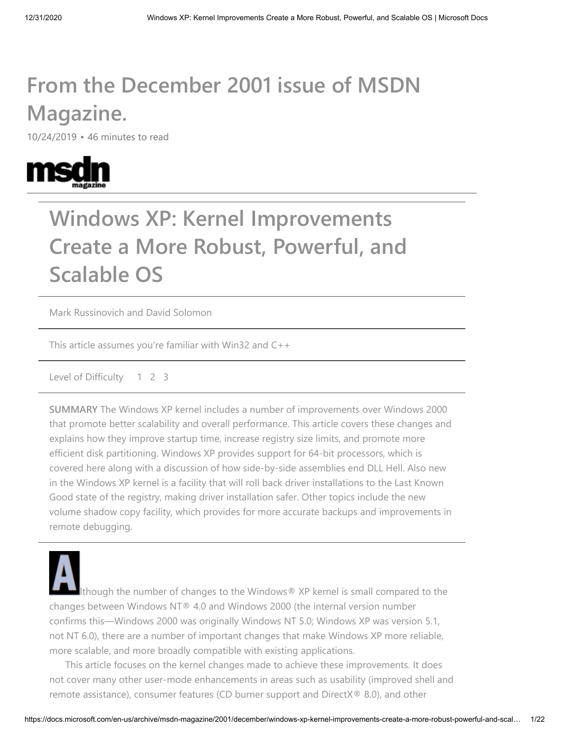# **From the December 2001 issue of MSDN Magazine.**

10/24/2019 • 46 minutes to read



# **Windows XP: Kernel Improvements Create a More Robust, Powerful, and Scalable OS**

Mark Russinovich and David Solomon

This article assumes you're familiar with Win32 and C++

Level of Difficulty 1 2 3

**SUMMARY** The Windows XP kernel includes a number of improvements over Windows 2000 that promote better scalability and overall performance. This article covers these changes and explains how they improve startup time, increase registry size limits, and promote more efficient disk partitioning. Windows XP provides support for 64-bit processors, which is covered here along with a discussion of how side-by-side assemblies end DLL Hell. Also new in the Windows XP kernel is a facility that will roll back driver installations to the Last Known Good state of the registry, making driver installation safer. Other topics include the new volume shadow copy facility, which provides for more accurate backups and improvements in remote debugging.

lthough the number of changes to the Windows® XP kernel is small compared to the changes between Windows NT® 4.0 and Windows 2000 (the internal version number confirms this—Windows 2000 was originally Windows NT 5.0; Windows XP was version 5.1, not NT 6.0), there are a number of important changes that make Windows XP more reliable, more scalable, and more broadly compatible with existing applications.

 This article focuses on the kernel changes made to achieve these improvements. It does not cover many other user-mode enhancements in areas such as usability (improved shell and remote assistance), consumer features (CD burner support and DirectX® 8.0), and other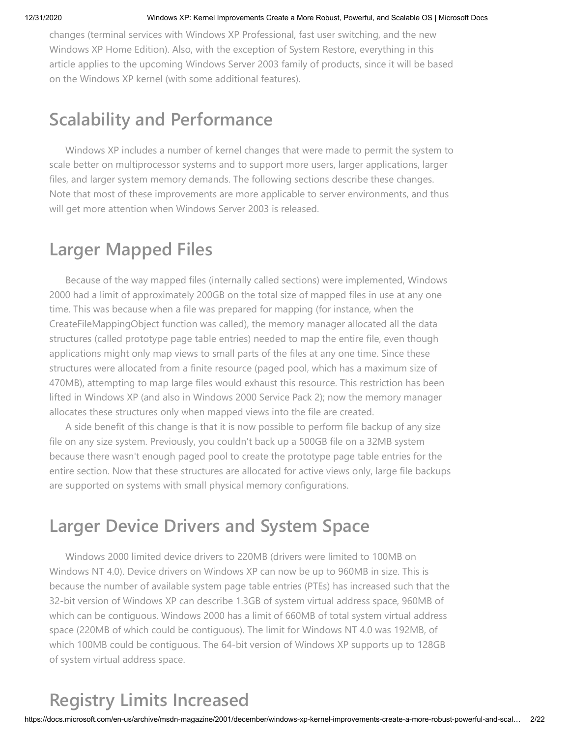changes (terminal services with Windows XP Professional, fast user switching, and the new Windows XP Home Edition). Also, with the exception of System Restore, everything in this article applies to the upcoming Windows Server 2003 family of products, since it will be based on the Windows XP kernel (with some additional features).

### **Scalability and Performance**

 Windows XP includes a number of kernel changes that were made to permit the system to scale better on multiprocessor systems and to support more users, larger applications, larger files, and larger system memory demands. The following sections describe these changes. Note that most of these improvements are more applicable to server environments, and thus will get more attention when Windows Server 2003 is released.

## **Larger Mapped Files**

 Because of the way mapped files (internally called sections) were implemented, Windows 2000 had a limit of approximately 200GB on the total size of mapped files in use at any one time. This was because when a file was prepared for mapping (for instance, when the CreateFileMappingObject function was called), the memory manager allocated all the data structures (called prototype page table entries) needed to map the entire file, even though applications might only map views to small parts of the files at any one time. Since these structures were allocated from a finite resource (paged pool, which has a maximum size of 470MB), attempting to map large files would exhaust this resource. This restriction has been lifted in Windows XP (and also in Windows 2000 Service Pack 2); now the memory manager allocates these structures only when mapped views into the file are created.

 A side benefit of this change is that it is now possible to perform file backup of any size file on any size system. Previously, you couldn't back up a 500GB file on a 32MB system because there wasn't enough paged pool to create the prototype page table entries for the entire section. Now that these structures are allocated for active views only, large file backups are supported on systems with small physical memory configurations.

### **Larger Device Drivers and System Space**

 Windows 2000 limited device drivers to 220MB (drivers were limited to 100MB on Windows NT 4.0). Device drivers on Windows XP can now be up to 960MB in size. This is because the number of available system page table entries (PTEs) has increased such that the 32-bit version of Windows XP can describe 1.3GB of system virtual address space, 960MB of which can be contiguous. Windows 2000 has a limit of 660MB of total system virtual address space (220MB of which could be contiguous). The limit for Windows NT 4.0 was 192MB, of which 100MB could be contiguous. The 64-bit version of Windows XP supports up to 128GB of system virtual address space.

## **Registry Limits Increased**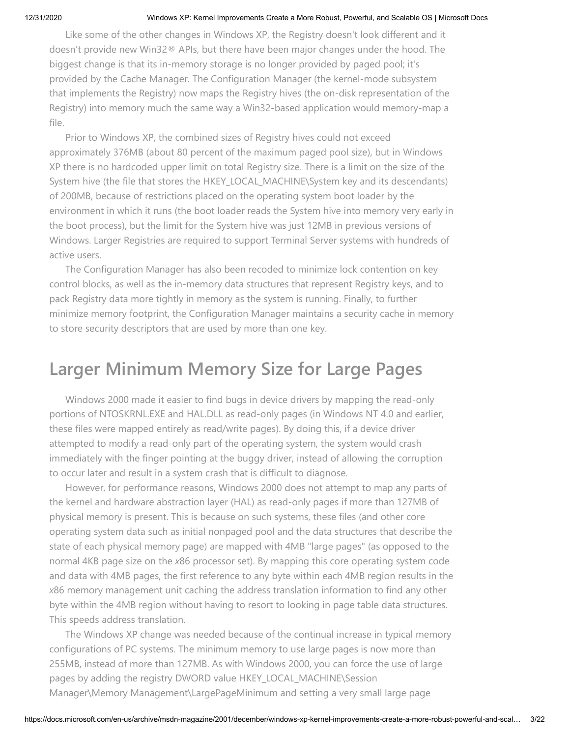Like some of the other changes in Windows XP, the Registry doesn't look different and it doesn't provide new Win32® APIs, but there have been major changes under the hood. The biggest change is that its in-memory storage is no longer provided by paged pool; it's provided by the Cache Manager. The Configuration Manager (the kernel-mode subsystem that implements the Registry) now maps the Registry hives (the on-disk representation of the Registry) into memory much the same way a Win32-based application would memory-map a file.

 Prior to Windows XP, the combined sizes of Registry hives could not exceed approximately 376MB (about 80 percent of the maximum paged pool size), but in Windows XP there is no hardcoded upper limit on total Registry size. There is a limit on the size of the System hive (the file that stores the HKEY\_LOCAL\_MACHINE\System key and its descendants) of 200MB, because of restrictions placed on the operating system boot loader by the environment in which it runs (the boot loader reads the System hive into memory very early in the boot process), but the limit for the System hive was just 12MB in previous versions of Windows. Larger Registries are required to support Terminal Server systems with hundreds of active users.

 The Configuration Manager has also been recoded to minimize lock contention on key control blocks, as well as the in-memory data structures that represent Registry keys, and to pack Registry data more tightly in memory as the system is running. Finally, to further minimize memory footprint, the Configuration Manager maintains a security cache in memory to store security descriptors that are used by more than one key.

### **Larger Minimum Memory Size for Large Pages**

 Windows 2000 made it easier to find bugs in device drivers by mapping the read-only portions of NTOSKRNL.EXE and HAL.DLL as read-only pages (in Windows NT 4.0 and earlier, these files were mapped entirely as read/write pages). By doing this, if a device driver attempted to modify a read-only part of the operating system, the system would crash immediately with the finger pointing at the buggy driver, instead of allowing the corruption to occur later and result in a system crash that is difficult to diagnose.

 However, for performance reasons, Windows 2000 does not attempt to map any parts of the kernel and hardware abstraction layer (HAL) as read-only pages if more than 127MB of physical memory is present. This is because on such systems, these files (and other core operating system data such as initial nonpaged pool and the data structures that describe the state of each physical memory page) are mapped with 4MB "large pages" (as opposed to the normal 4KB page size on the *x*86 processor set). By mapping this core operating system code and data with 4MB pages, the first reference to any byte within each 4MB region results in the *x*86 memory management unit caching the address translation information to find any other byte within the 4MB region without having to resort to looking in page table data structures. This speeds address translation.

 The Windows XP change was needed because of the continual increase in typical memory configurations of PC systems. The minimum memory to use large pages is now more than 255MB, instead of more than 127MB. As with Windows 2000, you can force the use of large pages by adding the registry DWORD value HKEY\_LOCAL\_MACHINE\Session Manager\Memory Management\LargePageMinimum and setting a very small large page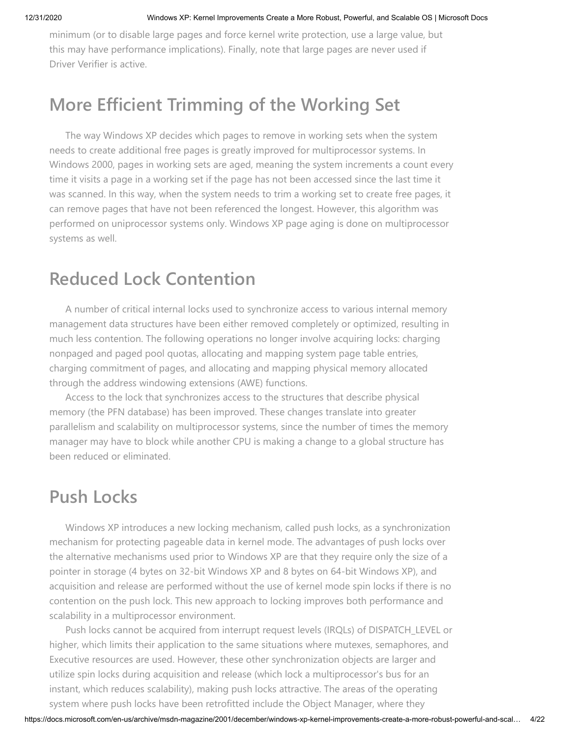minimum (or to disable large pages and force kernel write protection, use a large value, but this may have performance implications). Finally, note that large pages are never used if Driver Verifier is active.

### **More Efficient Trimming of the Working Set**

 The way Windows XP decides which pages to remove in working sets when the system needs to create additional free pages is greatly improved for multiprocessor systems. In Windows 2000, pages in working sets are aged, meaning the system increments a count every time it visits a page in a working set if the page has not been accessed since the last time it was scanned. In this way, when the system needs to trim a working set to create free pages, it can remove pages that have not been referenced the longest. However, this algorithm was performed on uniprocessor systems only. Windows XP page aging is done on multiprocessor systems as well.

### **Reduced Lock Contention**

 A number of critical internal locks used to synchronize access to various internal memory management data structures have been either removed completely or optimized, resulting in much less contention. The following operations no longer involve acquiring locks: charging nonpaged and paged pool quotas, allocating and mapping system page table entries, charging commitment of pages, and allocating and mapping physical memory allocated through the address windowing extensions (AWE) functions.

 Access to the lock that synchronizes access to the structures that describe physical memory (the PFN database) has been improved. These changes translate into greater parallelism and scalability on multiprocessor systems, since the number of times the memory manager may have to block while another CPU is making a change to a global structure has been reduced or eliminated.

### **Push Locks**

 Windows XP introduces a new locking mechanism, called push locks, as a synchronization mechanism for protecting pageable data in kernel mode. The advantages of push locks over the alternative mechanisms used prior to Windows XP are that they require only the size of a pointer in storage (4 bytes on 32-bit Windows XP and 8 bytes on 64-bit Windows XP), and acquisition and release are performed without the use of kernel mode spin locks if there is no contention on the push lock. This new approach to locking improves both performance and scalability in a multiprocessor environment.

 Push locks cannot be acquired from interrupt request levels (IRQLs) of DISPATCH\_LEVEL or higher, which limits their application to the same situations where mutexes, semaphores, and Executive resources are used. However, these other synchronization objects are larger and utilize spin locks during acquisition and release (which lock a multiprocessor's bus for an instant, which reduces scalability), making push locks attractive. The areas of the operating system where push locks have been retrofitted include the Object Manager, where they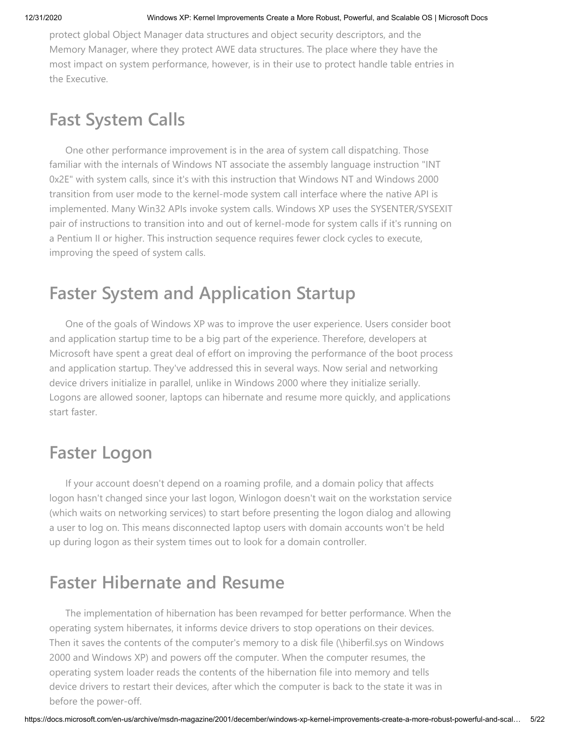protect global Object Manager data structures and object security descriptors, and the Memory Manager, where they protect AWE data structures. The place where they have the most impact on system performance, however, is in their use to protect handle table entries in the Executive.

## **Fast System Calls**

 One other performance improvement is in the area of system call dispatching. Those familiar with the internals of Windows NT associate the assembly language instruction "INT 0x2E" with system calls, since it's with this instruction that Windows NT and Windows 2000 transition from user mode to the kernel-mode system call interface where the native API is implemented. Many Win32 APIs invoke system calls. Windows XP uses the SYSENTER/SYSEXIT pair of instructions to transition into and out of kernel-mode for system calls if it's running on a Pentium II or higher. This instruction sequence requires fewer clock cycles to execute, improving the speed of system calls.

## **Faster System and Application Startup**

 One of the goals of Windows XP was to improve the user experience. Users consider boot and application startup time to be a big part of the experience. Therefore, developers at Microsoft have spent a great deal of effort on improving the performance of the boot process and application startup. They've addressed this in several ways. Now serial and networking device drivers initialize in parallel, unlike in Windows 2000 where they initialize serially. Logons are allowed sooner, laptops can hibernate and resume more quickly, and applications start faster.

## **Faster Logon**

 If your account doesn't depend on a roaming profile, and a domain policy that affects logon hasn't changed since your last logon, Winlogon doesn't wait on the workstation service (which waits on networking services) to start before presenting the logon dialog and allowing a user to log on. This means disconnected laptop users with domain accounts won't be held up during logon as their system times out to look for a domain controller.

## **Faster Hibernate and Resume**

 The implementation of hibernation has been revamped for better performance. When the operating system hibernates, it informs device drivers to stop operations on their devices. Then it saves the contents of the computer's memory to a disk file (\hiberfil.sys on Windows 2000 and Windows XP) and powers off the computer. When the computer resumes, the operating system loader reads the contents of the hibernation file into memory and tells device drivers to restart their devices, after which the computer is back to the state it was in before the power-off.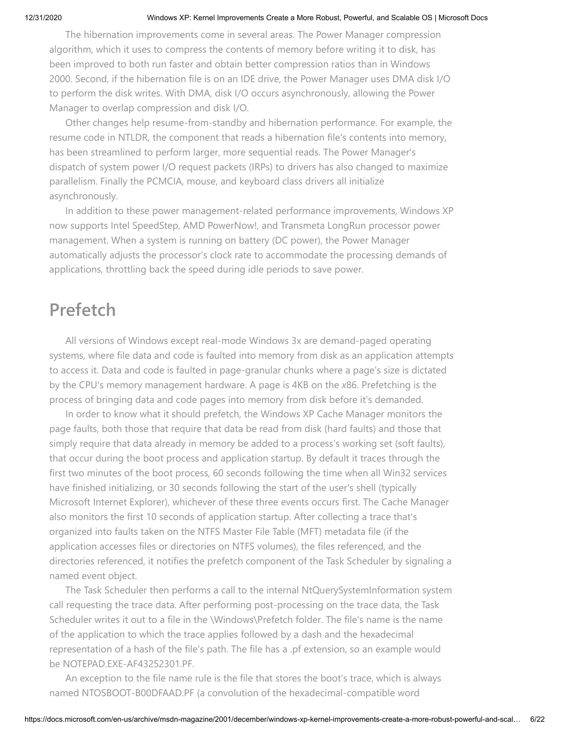The hibernation improvements come in several areas. The Power Manager compression algorithm, which it uses to compress the contents of memory before writing it to disk, has been improved to both run faster and obtain better compression ratios than in Windows 2000. Second, if the hibernation file is on an IDE drive, the Power Manager uses DMA disk I/O to perform the disk writes. With DMA, disk I/O occurs asynchronously, allowing the Power Manager to overlap compression and disk I/O.

 Other changes help resume-from-standby and hibernation performance. For example, the resume code in NTLDR, the component that reads a hibernation file's contents into memory, has been streamlined to perform larger, more sequential reads. The Power Manager's dispatch of system power I/O request packets (IRPs) to drivers has also changed to maximize parallelism. Finally the PCMCIA, mouse, and keyboard class drivers all initialize asynchronously.

 In addition to these power management-related performance improvements, Windows XP now supports Intel SpeedStep, AMD PowerNow!, and Transmeta LongRun processor power management. When a system is running on battery (DC power), the Power Manager automatically adjusts the processor's clock rate to accommodate the processing demands of applications, throttling back the speed during idle periods to save power.

### **Prefetch**

 All versions of Windows except real-mode Windows 3x are demand-paged operating systems, where file data and code is faulted into memory from disk as an application attempts to access it. Data and code is faulted in page-granular chunks where a page's size is dictated by the CPU's memory management hardware. A page is 4KB on the *x*86. Prefetching is the process of bringing data and code pages into memory from disk before it's demanded.

 In order to know what it should prefetch, the Windows XP Cache Manager monitors the page faults, both those that require that data be read from disk (hard faults) and those that simply require that data already in memory be added to a process's working set (soft faults), that occur during the boot process and application startup. By default it traces through the first two minutes of the boot process, 60 seconds following the time when all Win32 services have finished initializing, or 30 seconds following the start of the user's shell (typically Microsoft Internet Explorer), whichever of these three events occurs first. The Cache Manager also monitors the first 10 seconds of application startup. After collecting a trace that's organized into faults taken on the NTFS Master File Table (MFT) metadata file (if the application accesses files or directories on NTFS volumes), the files referenced, and the directories referenced, it notifies the prefetch component of the Task Scheduler by signaling a named event object.

 The Task Scheduler then performs a call to the internal NtQuerySystemInformation system call requesting the trace data. After performing post-processing on the trace data, the Task Scheduler writes it out to a file in the \Windows\Prefetch folder. The file's name is the name of the application to which the trace applies followed by a dash and the hexadecimal representation of a hash of the file's path. The file has a .pf extension, so an example would be NOTEPAD.EXE-AF43252301.PF.

 An exception to the file name rule is the file that stores the boot's trace, which is always named NTOSBOOT-B00DFAAD.PF (a convolution of the hexadecimal-compatible word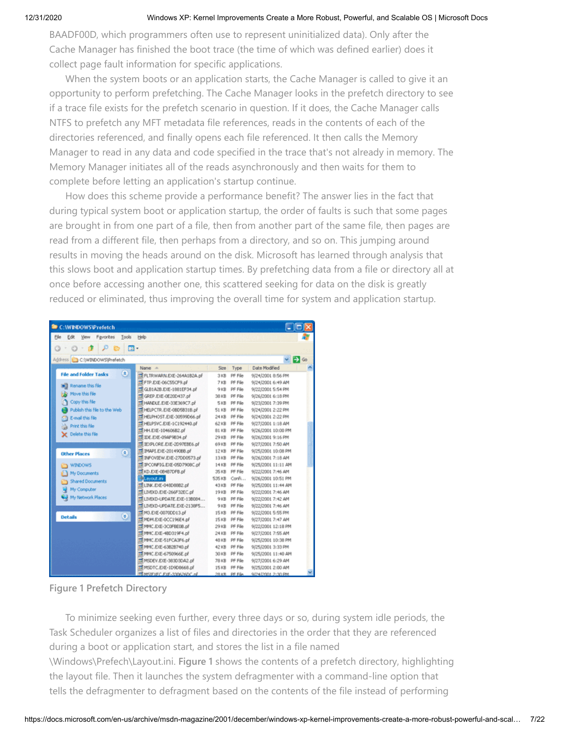BAADF00D, which programmers often use to represent uninitialized data). Only after the Cache Manager has finished the boot trace (the time of which was defined earlier) does it collect page fault information for specific applications.

 When the system boots or an application starts, the Cache Manager is called to give it an opportunity to perform prefetching. The Cache Manager looks in the prefetch directory to see if a trace file exists for the prefetch scenario in question. If it does, the Cache Manager calls NTFS to prefetch any MFT metadata file references, reads in the contents of each of the directories referenced, and finally opens each file referenced. It then calls the Memory Manager to read in any data and code specified in the trace that's not already in memory. The Memory Manager initiates all of the reads asynchronously and then waits for them to complete before letting an application's startup continue.

 How does this scheme provide a performance benefit? The answer lies in the fact that during typical system boot or application startup, the order of faults is such that some pages are brought in from one part of a file, then from another part of the same file, then pages are read from a different file, then perhaps from a directory, and so on. This jumping around results in moving the heads around on the disk. Microsoft has learned through analysis that this slows boot and application startup times. By prefetching data from a file or directory all at once before accessing another one, this scattered seeking for data on the disk is greatly reduced or eliminated, thus improving the overall time for system and application startup.

| Ejojx<br><b>Rec: WRDOWS\Prefetch</b>                          |                                    |         |               |                    |  |  |  |  |
|---------------------------------------------------------------|------------------------------------|---------|---------------|--------------------|--|--|--|--|
| Eile<br>Help<br>Edit<br>yjew<br>Favorites<br>Tools            |                                    |         |               |                    |  |  |  |  |
| $\cdot$ $\cdot$ $\cdot$ $\cdot$ $\cdot$<br>曲・<br>G<br>$\odot$ |                                    |         |               |                    |  |  |  |  |
|                                                               |                                    |         |               |                    |  |  |  |  |
| Address C C/WINDOWS(Prefetch<br>$\Rightarrow$ Go              |                                    |         |               |                    |  |  |  |  |
|                                                               | Name: A                            | Size    | Type          | Date Modified      |  |  |  |  |
| $\hat{\mathbf{x}}$<br><b>File and Folder Tasks</b>            | <b>BE FLTRWARN.EXE-264A182A.pf</b> | 3 KB    | PF F&         | 9/24/2001 8:56 PM  |  |  |  |  |
| <b>Bill</b> Rename this file                                  | FIP.ExE-06CSSCF9.pf                | $7$ KB  | PF F&         | 9/24/2001 6:49 AM  |  |  |  |  |
|                                                               | TO GLB1A2B.EXE-1881EF34.pf         | $9$ KB  | PF File       | 9/22/2001 5:54 PM  |  |  |  |  |
| <b>By Move this file</b>                                      | TT GREP.EXE-0E20D437.pf            | 38 KB   | PF File       | 9/26/2001 6:18 PM  |  |  |  |  |
| Copy this file                                                | BI HANDLE, EXE-33E369C7.pf         | 5 KB    | PF File       | 9/23/2001 7:39 PM  |  |  |  |  |
| Publish this file to the Web                                  | ET HELPCTR.EXE-08058318.pf         | 51 KB   | PF Fão        | 9/24/2001 2:22 PM  |  |  |  |  |
| Co E-mail this file                                           | THELPHOST.EXE-30599066.pf          | 24KB    | PF File       | 9/24/2001 2:22 PM  |  |  |  |  |
| Print this file                                               | TT HELPSYC.EXE-1C192440.pf         |         | 62 KB PF File | 9/27/2001 1:18 AM  |  |  |  |  |
| Celete this file                                              | ET HH.EXE-10460682.of              |         | 81 KB PF File | 9/26/2001 10:00 PM |  |  |  |  |
|                                                               | ET IDE.EXE-09AP9B34.pf             | 29 KB   | PF File       | 9/26/2001 9:16 PM  |  |  |  |  |
|                                                               | BILD/PLORE.EXE-2D97EBE6.pf         | 69 KB   | PF F&         | 9/27/2001 7:50 AM  |  |  |  |  |
| $\bullet$<br><b>Other Places</b>                              | TE IMAPILEXE-20149068.pf           | 12 KB   | PF File       | 9/25/2001 10:08 PM |  |  |  |  |
|                                                               | IN INFOVIEW.EXE-27000573.pf        | 13 KB   | PF File       | 9/26/2001 7:18 AM  |  |  |  |  |
| <b>ET WINDOWS</b>                                             | THE IPCOMPIG.EXE-05D7908C.pf       |         | 14 KB PF File | 9/25/2001 11:11 AM |  |  |  |  |
| <sup>2</sup> My Documents                                     | E KD.EXE-08487DF8.pf               | 35 KB   | PF File       | 9/22/2001 7:46 AM  |  |  |  |  |
| <b>Shared Documents</b>                                       | <b>B</b> Layoutuni                 | \$35 KB | Confi         | 9/26/2001 10:51 PM |  |  |  |  |
| <b>My Computer</b>                                            | THE LINK EXE-048D8882 of           | 43 KB   | PF File       | 9/25/2001 11:44 AM |  |  |  |  |
|                                                               | THE LIVEKD. EXE-266F32EC. of       | 19 KB   | PF File       | 9/22/2001 7:46 AM  |  |  |  |  |
| <b>CJ</b> My Network Places                                   | 33 LIVEKD-UPDATE.EXE-138084        | 9 KB    | PF File       | 9/22/2001 7:42 AM  |  |  |  |  |
|                                                               | SILIVEKD-UPDATE.EXE-2138F5         | 9 KB    | PF File       | 9/22/2001 7:46 AM  |  |  |  |  |
| ◉<br><b>Details</b>                                           | 国 M3.EXE-0070DD13.pf               | 15KB    | PF File       | 9/22/2001 5:55 PM  |  |  |  |  |
|                                                               | TE MOM.EXE-OCC196E4.pf             | 15 KB   | PF File       | 9/27/2001 7:47 AM  |  |  |  |  |
|                                                               | MMC.EXE-3COFBE0B.pf                |         | 29 KB PF File | 9/22/2001 12:18 PM |  |  |  |  |
|                                                               | TT MMC.EXE-4BD319F4.pf             | 24 KB   | PF File       | 9/27/2001 7:55 AM  |  |  |  |  |
|                                                               | ET MMC.EXE-51FCA3F6.pf             | 48 KB   | PF File       | 9/25/2001 10:38 PM |  |  |  |  |
|                                                               | THE MMC.EXE-63828740.pf            | 42 KB   | PF File       | 9/25/2001 3:33 PM  |  |  |  |  |
|                                                               | TE MMC.EXE-6750966E.pf             | $30$ KB | PF File       | 9/25/2001 11:40 AM |  |  |  |  |
|                                                               | MSDEV.EXE-383D3DA2.pf              |         | 78 KB PF File | 9/27/2001 6:29 AM  |  |  |  |  |
|                                                               | MSDTC.EXE-1D9D8668.pf              |         | 15 KB PF File | 9/25/2001 2:00 AM  |  |  |  |  |
|                                                               | <b>REMSIEVEC FXF-330626DC.nF</b>   |         | 2/LKR PF Film | 9/24/2001 2:30 PM  |  |  |  |  |

**Figure 1 Prefetch Directory**

 To minimize seeking even further, every three days or so, during system idle periods, the Task Scheduler organizes a list of files and directories in the order that they are referenced during a boot or application start, and stores the list in a file named \Windows\Prefech\Layout.ini. **Figure 1** shows the contents of a prefetch directory, highlighting the layout file. Then it launches the system defragmenter with a command-line option that tells the defragmenter to defragment based on the contents of the file instead of performing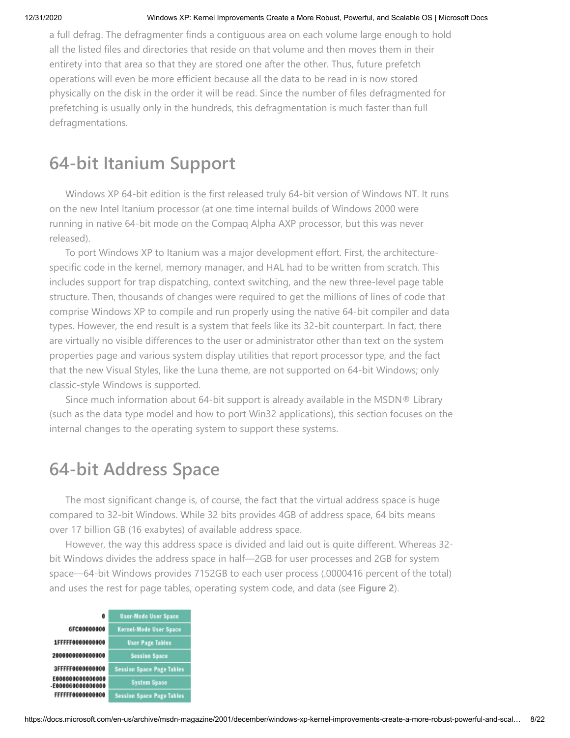a full defrag. The defragmenter finds a contiguous area on each volume large enough to hold all the listed files and directories that reside on that volume and then moves them in their entirety into that area so that they are stored one after the other. Thus, future prefetch operations will even be more efficient because all the data to be read in is now stored physically on the disk in the order it will be read. Since the number of files defragmented for prefetching is usually only in the hundreds, this defragmentation is much faster than full defragmentations.

### **64-bit Itanium Support**

 Windows XP 64-bit edition is the first released truly 64-bit version of Windows NT. It runs on the new Intel Itanium processor (at one time internal builds of Windows 2000 were running in native 64-bit mode on the Compaq Alpha AXP processor, but this was never released).

 To port Windows XP to Itanium was a major development effort. First, the architecturespecific code in the kernel, memory manager, and HAL had to be written from scratch. This includes support for trap dispatching, context switching, and the new three-level page table structure. Then, thousands of changes were required to get the millions of lines of code that comprise Windows XP to compile and run properly using the native 64-bit compiler and data types. However, the end result is a system that feels like its 32-bit counterpart. In fact, there are virtually no visible differences to the user or administrator other than text on the system properties page and various system display utilities that report processor type, and the fact that the new Visual Styles, like the Luna theme, are not supported on 64-bit Windows; only classic-style Windows is supported.

 Since much information about 64-bit support is already available in the MSDN® Library (such as the data type model and how to port Win32 applications), this section focuses on the internal changes to the operating system to support these systems.

### **64-bit Address Space**

 The most significant change is, of course, the fact that the virtual address space is huge compared to 32-bit Windows. While 32 bits provides 4GB of address space, 64 bits means over 17 billion GB (16 exabytes) of available address space.

 However, the way this address space is divided and laid out is quite different. Whereas 32 bit Windows divides the address space in half—2GB for user processes and 2GB for system space—64-bit Windows provides 7152GB to each user process (.0000416 percent of the total) and uses the rest for page tables, operating system code, and data (see **Figure 2**).

| 0                | <b>User-Mode User Space</b>      |  |  |
|------------------|----------------------------------|--|--|
| 6FC00000000      | <b>Kernel-Mode User Space</b>    |  |  |
| 1FFFFF0000000000 | <b>User Page Tables</b>          |  |  |
| 200000000000000  | <b>Session Space</b>             |  |  |
| 3FFFFF0000000000 | <b>Session Space Page Tables</b> |  |  |
| E00000000000000  | <b>System Space</b>              |  |  |
| FFFFFF0000000000 | <b>Session Space Page Tables</b> |  |  |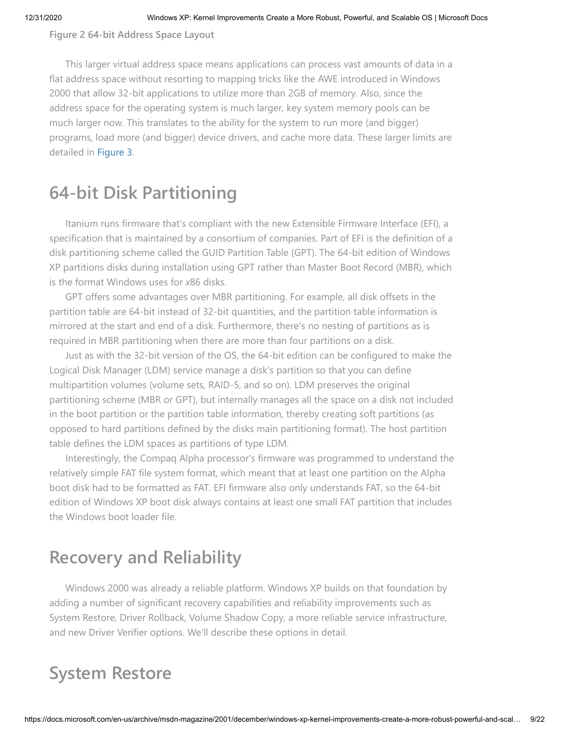**Figure 2 64-bit Address Space Layout**

 This larger virtual address space means applications can process vast amounts of data in a flat address space without resorting to mapping tricks like the AWE introduced in Windows 2000 that allow 32-bit applications to utilize more than 2GB of memory. Also, since the address space for the operating system is much larger, key system memory pools can be much larger now. This translates to the ability for the system to run more (and bigger) programs, load more (and bigger) device drivers, and cache more data. These larger limits are detailed in [Figure 3](https://technet.microsoft.com/en-us/AssetId:MSDN%7cdnmag01%7c~%5chtml%5cxpkernelfigures.htm).

### **64-bit Disk Partitioning**

 Itanium runs firmware that's compliant with the new Extensible Firmware Interface (EFI), a specification that is maintained by a consortium of companies. Part of EFI is the definition of a disk partitioning scheme called the GUID Partition Table (GPT). The 64-bit edition of Windows XP partitions disks during installation using GPT rather than Master Boot Record (MBR), which is the format Windows uses for *x*86 disks.

 GPT offers some advantages over MBR partitioning. For example, all disk offsets in the partition table are 64-bit instead of 32-bit quantities, and the partition table information is mirrored at the start and end of a disk. Furthermore, there's no nesting of partitions as is required in MBR partitioning when there are more than four partitions on a disk.

 Just as with the 32-bit version of the OS, the 64-bit edition can be configured to make the Logical Disk Manager (LDM) service manage a disk's partition so that you can define multipartition volumes (volume sets, RAID-5, and so on). LDM preserves the original partitioning scheme (MBR or GPT), but internally manages all the space on a disk not included in the boot partition or the partition table information, thereby creating soft partitions (as opposed to hard partitions defined by the disks main partitioning format). The host partition table defines the LDM spaces as partitions of type LDM.

 Interestingly, the Compaq Alpha processor's firmware was programmed to understand the relatively simple FAT file system format, which meant that at least one partition on the Alpha boot disk had to be formatted as FAT. EFI firmware also only understands FAT, so the 64-bit edition of Windows XP boot disk always contains at least one small FAT partition that includes the Windows boot loader file.

### **Recovery and Reliability**

 Windows 2000 was already a reliable platform. Windows XP builds on that foundation by adding a number of significant recovery capabilities and reliability improvements such as System Restore, Driver Rollback, Volume Shadow Copy, a more reliable service infrastructure, and new Driver Verifier options. We'll describe these options in detail.

### **System Restore**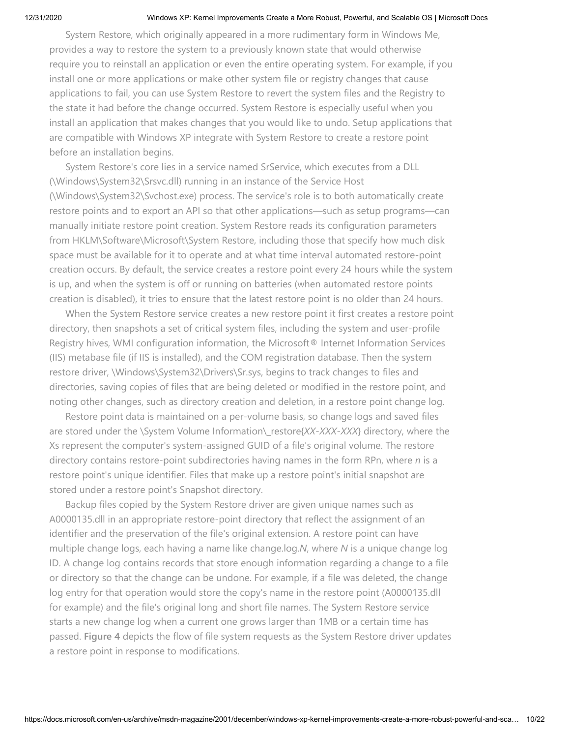System Restore, which originally appeared in a more rudimentary form in Windows Me, provides a way to restore the system to a previously known state that would otherwise require you to reinstall an application or even the entire operating system. For example, if you install one or more applications or make other system file or registry changes that cause applications to fail, you can use System Restore to revert the system files and the Registry to the state it had before the change occurred. System Restore is especially useful when you install an application that makes changes that you would like to undo. Setup applications that are compatible with Windows XP integrate with System Restore to create a restore point before an installation begins.

 System Restore's core lies in a service named SrService, which executes from a DLL (\Windows\System32\Srsvc.dll) running in an instance of the Service Host (\Windows\System32\Svchost.exe) process. The service's role is to both automatically create restore points and to export an API so that other applications—such as setup programs—can manually initiate restore point creation. System Restore reads its configuration parameters from HKLM\Software\Microsoft\System Restore, including those that specify how much disk space must be available for it to operate and at what time interval automated restore-point creation occurs. By default, the service creates a restore point every 24 hours while the system is up, and when the system is off or running on batteries (when automated restore points creation is disabled), it tries to ensure that the latest restore point is no older than 24 hours.

 When the System Restore service creates a new restore point it first creates a restore point directory, then snapshots a set of critical system files, including the system and user-profile Registry hives, WMI configuration information, the Microsoft® Internet Information Services (IIS) metabase file (if IIS is installed), and the COM registration database. Then the system restore driver, \Windows\System32\Drivers\Sr.sys, begins to track changes to files and directories, saving copies of files that are being deleted or modified in the restore point, and noting other changes, such as directory creation and deletion, in a restore point change log.

 Restore point data is maintained on a per-volume basis, so change logs and saved files are stored under the \System Volume Information\\_restore{*XX*-*XXX*-*XXX*} directory, where the Xs represent the computer's system-assigned GUID of a file's original volume. The restore directory contains restore-point subdirectories having names in the form RPn, where *n* is a restore point's unique identifier. Files that make up a restore point's initial snapshot are stored under a restore point's Snapshot directory.

 Backup files copied by the System Restore driver are given unique names such as A0000135.dll in an appropriate restore-point directory that reflect the assignment of an identifier and the preservation of the file's original extension. A restore point can have multiple change logs, each having a name like change.log.*N*, where *N* is a unique change log ID. A change log contains records that store enough information regarding a change to a file or directory so that the change can be undone. For example, if a file was deleted, the change log entry for that operation would store the copy's name in the restore point (A0000135.dll for example) and the file's original long and short file names. The System Restore service starts a new change log when a current one grows larger than 1MB or a certain time has passed. **Figure 4** depicts the flow of file system requests as the System Restore driver updates a restore point in response to modifications.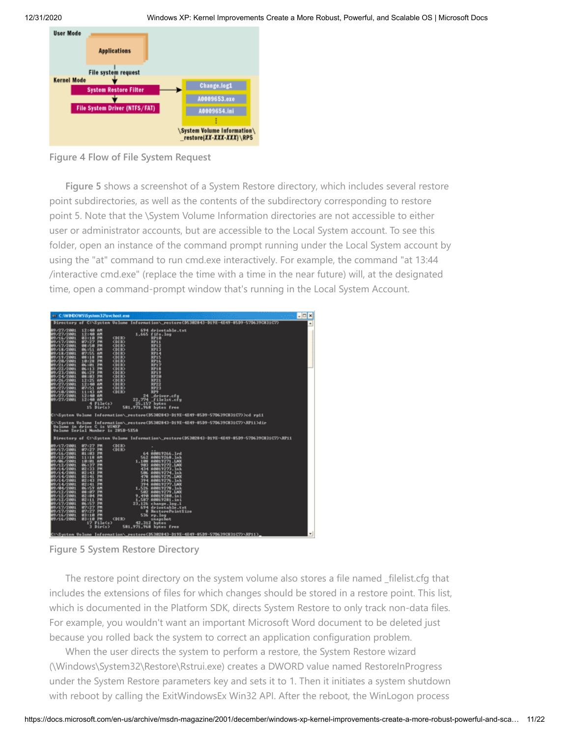

**Figure 4 Flow of File System Request**

 **Figure 5** shows a screenshot of a System Restore directory, which includes several restore point subdirectories, as well as the contents of the subdirectory corresponding to restore point 5. Note that the \System Volume Information directories are not accessible to either user or administrator accounts, but are accessible to the Local System account. To see this folder, open an instance of the command prompt running under the Local System account by using the "at" command to run cmd.exe interactively. For example, the command "at 13:44 /interactive cmd.exe" (replace the time with a time in the near future) will, at the designated time, open a command-prompt window that's running in the Local System Account.



**Figure 5 System Restore Directory**

 The restore point directory on the system volume also stores a file named \_filelist.cfg that includes the extensions of files for which changes should be stored in a restore point. This list, which is documented in the Platform SDK, directs System Restore to only track non-data files. For example, you wouldn't want an important Microsoft Word document to be deleted just because you rolled back the system to correct an application configuration problem.

 When the user directs the system to perform a restore, the System Restore wizard (\Windows\System32\Restore\Rstrui.exe) creates a DWORD value named RestoreInProgress under the System Restore parameters key and sets it to 1. Then it initiates a system shutdown with reboot by calling the ExitWindowsEx Win32 API. After the reboot, the WinLogon process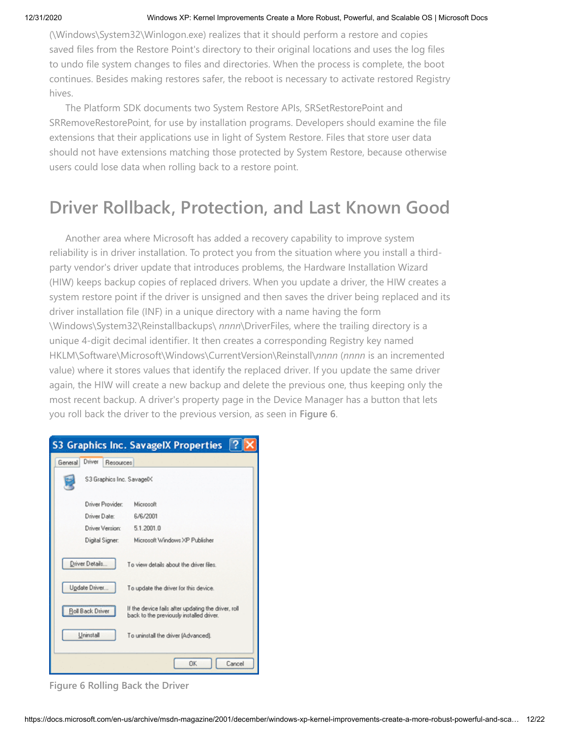(\Windows\System32\Winlogon.exe) realizes that it should perform a restore and copies saved files from the Restore Point's directory to their original locations and uses the log files to undo file system changes to files and directories. When the process is complete, the boot continues. Besides making restores safer, the reboot is necessary to activate restored Registry hives.

 The Platform SDK documents two System Restore APIs, SRSetRestorePoint and SRRemoveRestorePoint, for use by installation programs. Developers should examine the file extensions that their applications use in light of System Restore. Files that store user data should not have extensions matching those protected by System Restore, because otherwise users could lose data when rolling back to a restore point.

### **Driver Rollback, Protection, and Last Known Good**

 Another area where Microsoft has added a recovery capability to improve system reliability is in driver installation. To protect you from the situation where you install a thirdparty vendor's driver update that introduces problems, the Hardware Installation Wizard (HIW) keeps backup copies of replaced drivers. When you update a driver, the HIW creates a system restore point if the driver is unsigned and then saves the driver being replaced and its driver installation file (INF) in a unique directory with a name having the form \Windows\System32\Reinstallbackups\ *nnnn*\DriverFiles, where the trailing directory is a unique 4-digit decimal identifier. It then creates a corresponding Registry key named HKLM\Software\Microsoft\Windows\CurrentVersion\Reinstall\*nnnn* (*nnnn* is an incremented value) where it stores values that identify the replaced driver. If you update the same driver again, the HIW will create a new backup and delete the previous one, thus keeping only the most recent backup. A driver's property page in the Device Manager has a button that lets you roll back the driver to the previous version, as seen in **Figure 6**.

|                                | <b>S3 Graphics Inc. SavagelX Properties</b>                                                     |  |  |  |  |
|--------------------------------|-------------------------------------------------------------------------------------------------|--|--|--|--|
| Driver<br>General<br>Resources |                                                                                                 |  |  |  |  |
| S3 Graphics Inc. SavagelX      |                                                                                                 |  |  |  |  |
| Driver Provider:               | Microsoft                                                                                       |  |  |  |  |
| Driver Date:                   | 6/6/2001                                                                                        |  |  |  |  |
| Driver Version:                | 5.1.2001.0                                                                                      |  |  |  |  |
| Digital Signer:                | Microsoft Windows XP Publisher                                                                  |  |  |  |  |
| Driver Details                 | To view details about the driver files.                                                         |  |  |  |  |
| Update Driver                  | To update the driver for this device.                                                           |  |  |  |  |
| <b>Roll Back Driver</b>        | If the device fails after updating the driver, roll<br>back to the previously installed driver. |  |  |  |  |
| Uninstall                      | To uninstall the driver (Advanced).                                                             |  |  |  |  |
|                                | <b>OK</b><br>Cancel                                                                             |  |  |  |  |

**Figure 6 Rolling Back the Driver**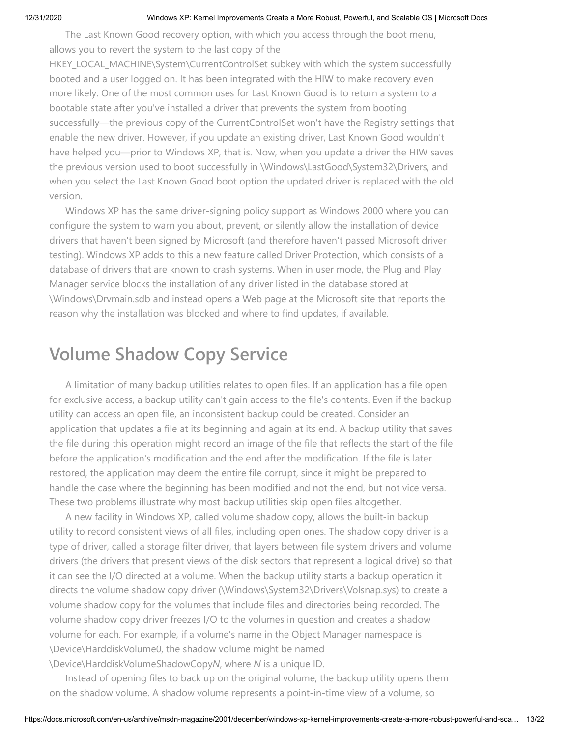The Last Known Good recovery option, with which you access through the boot menu, allows you to revert the system to the last copy of the

HKEY\_LOCAL\_MACHINE\System\CurrentControlSet subkey with which the system successfully booted and a user logged on. It has been integrated with the HIW to make recovery even more likely. One of the most common uses for Last Known Good is to return a system to a bootable state after you've installed a driver that prevents the system from booting successfully—the previous copy of the CurrentControlSet won't have the Registry settings that enable the new driver. However, if you update an existing driver, Last Known Good wouldn't have helped you—prior to Windows XP, that is. Now, when you update a driver the HIW saves the previous version used to boot successfully in \Windows\LastGood\System32\Drivers, and when you select the Last Known Good boot option the updated driver is replaced with the old version.

 Windows XP has the same driver-signing policy support as Windows 2000 where you can configure the system to warn you about, prevent, or silently allow the installation of device drivers that haven't been signed by Microsoft (and therefore haven't passed Microsoft driver testing). Windows XP adds to this a new feature called Driver Protection, which consists of a database of drivers that are known to crash systems. When in user mode, the Plug and Play Manager service blocks the installation of any driver listed in the database stored at \Windows\Drvmain.sdb and instead opens a Web page at the Microsoft site that reports the reason why the installation was blocked and where to find updates, if available.

### **Volume Shadow Copy Service**

 A limitation of many backup utilities relates to open files. If an application has a file open for exclusive access, a backup utility can't gain access to the file's contents. Even if the backup utility can access an open file, an inconsistent backup could be created. Consider an application that updates a file at its beginning and again at its end. A backup utility that saves the file during this operation might record an image of the file that reflects the start of the file before the application's modification and the end after the modification. If the file is later restored, the application may deem the entire file corrupt, since it might be prepared to handle the case where the beginning has been modified and not the end, but not vice versa. These two problems illustrate why most backup utilities skip open files altogether.

 A new facility in Windows XP, called volume shadow copy, allows the built-in backup utility to record consistent views of all files, including open ones. The shadow copy driver is a type of driver, called a storage filter driver, that layers between file system drivers and volume drivers (the drivers that present views of the disk sectors that represent a logical drive) so that it can see the I/O directed at a volume. When the backup utility starts a backup operation it directs the volume shadow copy driver (\Windows\System32\Drivers\Volsnap.sys) to create a volume shadow copy for the volumes that include files and directories being recorded. The volume shadow copy driver freezes I/O to the volumes in question and creates a shadow volume for each. For example, if a volume's name in the Object Manager namespace is \Device\HarddiskVolume0, the shadow volume might be named \Device\HarddiskVolumeShadowCopy*N*, where *N* is a unique ID.

 Instead of opening files to back up on the original volume, the backup utility opens them on the shadow volume. A shadow volume represents a point-in-time view of a volume, so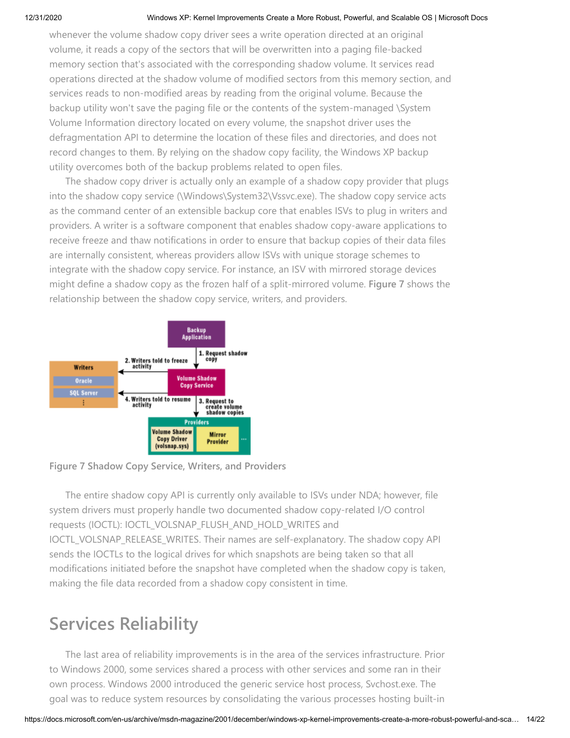whenever the volume shadow copy driver sees a write operation directed at an original volume, it reads a copy of the sectors that will be overwritten into a paging file-backed memory section that's associated with the corresponding shadow volume. It services read operations directed at the shadow volume of modified sectors from this memory section, and services reads to non-modified areas by reading from the original volume. Because the backup utility won't save the paging file or the contents of the system-managed \System Volume Information directory located on every volume, the snapshot driver uses the defragmentation API to determine the location of these files and directories, and does not record changes to them. By relying on the shadow copy facility, the Windows XP backup utility overcomes both of the backup problems related to open files.

 The shadow copy driver is actually only an example of a shadow copy provider that plugs into the shadow copy service (\Windows\System32\Vssvc.exe). The shadow copy service acts as the command center of an extensible backup core that enables ISVs to plug in writers and providers. A writer is a software component that enables shadow copy-aware applications to receive freeze and thaw notifications in order to ensure that backup copies of their data files are internally consistent, whereas providers allow ISVs with unique storage schemes to integrate with the shadow copy service. For instance, an ISV with mirrored storage devices might define a shadow copy as the frozen half of a split-mirrored volume. **Figure 7** shows the relationship between the shadow copy service, writers, and providers.



#### **Figure 7 Shadow Copy Service, Writers, and Providers**

 The entire shadow copy API is currently only available to ISVs under NDA; however, file system drivers must properly handle two documented shadow copy-related I/O control requests (IOCTL): IOCTL\_VOLSNAP\_FLUSH\_AND\_HOLD\_WRITES and IOCTL\_VOLSNAP\_RELEASE\_WRITES. Their names are self-explanatory. The shadow copy API sends the IOCTLs to the logical drives for which snapshots are being taken so that all modifications initiated before the snapshot have completed when the shadow copy is taken, making the file data recorded from a shadow copy consistent in time.

### **Services Reliability**

 The last area of reliability improvements is in the area of the services infrastructure. Prior to Windows 2000, some services shared a process with other services and some ran in their own process. Windows 2000 introduced the generic service host process, Svchost.exe. The goal was to reduce system resources by consolidating the various processes hosting built-in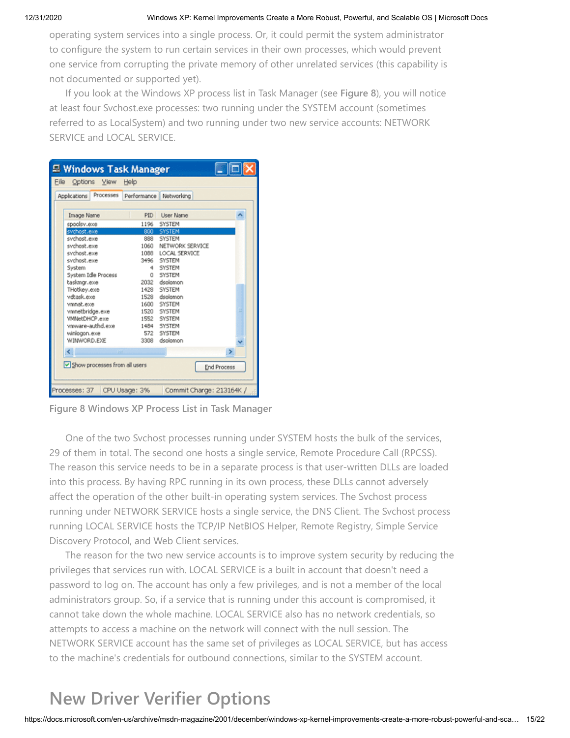operating system services into a single process. Or, it could permit the system administrator to configure the system to run certain services in their own processes, which would prevent one service from corrupting the private memory of other unrelated services (this capability is not documented or supported yet).

 If you look at the Windows XP process list in Task Manager (see **Figure 8**), you will notice at least four Svchost.exe processes: two running under the SYSTEM account (sometimes referred to as LocalSystem) and two running under two new service accounts: NETWORK SERVICE and LOCAL SERVICE.

| <b>E Windows Task Manager</b>                       |                        |                          |    |  |  |
|-----------------------------------------------------|------------------------|--------------------------|----|--|--|
| File<br>Options View                                | Help                   |                          |    |  |  |
| Processes<br>Applications                           | Performance Networking |                          |    |  |  |
|                                                     |                        |                          |    |  |  |
| Image Name                                          | PID                    | <b>Liser Name</b>        |    |  |  |
| spoolsv.exe                                         | 1196                   | SYSTEM                   |    |  |  |
| svchost.exe                                         |                        | 800 SYSTEM               |    |  |  |
| svchost.exe                                         | 888                    | <b>SYSTEM</b>            |    |  |  |
| svchost.exe                                         | 1060                   | NETWORK SERVICE          |    |  |  |
| sychost.exe                                         |                        | 1088 LOCAL SERVICE       |    |  |  |
| sychost.exe                                         | 3496                   | SYSTEM                   |    |  |  |
| System                                              | 4                      | SYSTEM                   |    |  |  |
| System Idle Process                                 | n.                     | <b>SYSTEM</b>            |    |  |  |
| taskmgr.exe                                         |                        | 2032 dsolomon            |    |  |  |
| THotkey.exe                                         |                        | 1428 SYSTEM              |    |  |  |
| vdtask.exe                                          |                        | 1528 dsolomon            |    |  |  |
| vmnat.exe                                           |                        | 1600 SYSTEM              |    |  |  |
| vmnetbridge.exe                                     |                        | 1520 SYSTEM              |    |  |  |
| VMNetDHCP.exe                                       | 1552                   | SYSTEM<br><b>SYSTEM</b>  |    |  |  |
| vmware-authd.exe                                    | 1484<br>572            | SYSTEM                   |    |  |  |
| winlogon.exe<br>WINWORD.EXE                         | 3308                   | dsolomon                 |    |  |  |
|                                                     |                        |                          |    |  |  |
| <b>FIE</b>                                          |                        |                          | Y. |  |  |
| Show processes from all users<br><b>End Process</b> |                        |                          |    |  |  |
| Processes: 37                                       | CPU Usage: 3%          | Commit Charge: 213164K / |    |  |  |

**Figure 8 Windows XP Process List in Task Manager**

 One of the two Svchost processes running under SYSTEM hosts the bulk of the services, 29 of them in total. The second one hosts a single service, Remote Procedure Call (RPCSS). The reason this service needs to be in a separate process is that user-written DLLs are loaded into this process. By having RPC running in its own process, these DLLs cannot adversely affect the operation of the other built-in operating system services. The Svchost process running under NETWORK SERVICE hosts a single service, the DNS Client. The Svchost process running LOCAL SERVICE hosts the TCP/IP NetBIOS Helper, Remote Registry, Simple Service Discovery Protocol, and Web Client services.

 The reason for the two new service accounts is to improve system security by reducing the privileges that services run with. LOCAL SERVICE is a built in account that doesn't need a password to log on. The account has only a few privileges, and is not a member of the local administrators group. So, if a service that is running under this account is compromised, it cannot take down the whole machine. LOCAL SERVICE also has no network credentials, so attempts to access a machine on the network will connect with the null session. The NETWORK SERVICE account has the same set of privileges as LOCAL SERVICE, but has access to the machine's credentials for outbound connections, similar to the SYSTEM account.

## **New Driver Verifier Options**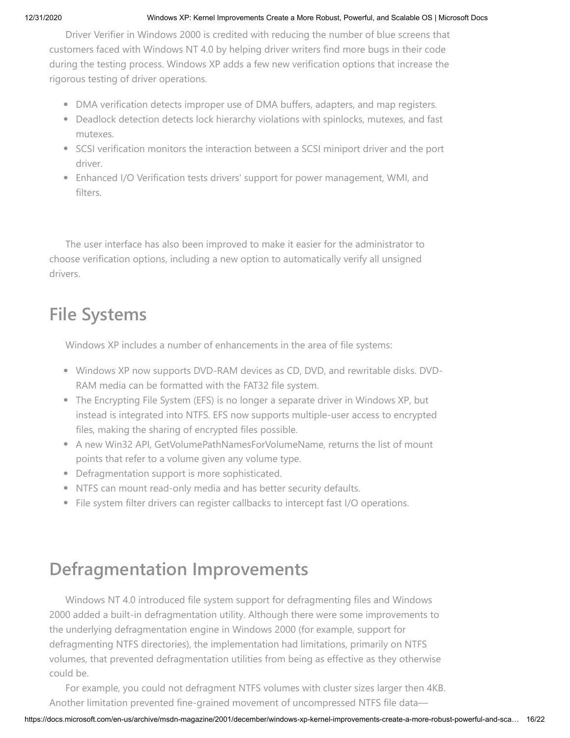Driver Verifier in Windows 2000 is credited with reducing the number of blue screens that customers faced with Windows NT 4.0 by helping driver writers find more bugs in their code during the testing process. Windows XP adds a few new verification options that increase the rigorous testing of driver operations.

- DMA verification detects improper use of DMA buffers, adapters, and map registers.
- Deadlock detection detects lock hierarchy violations with spinlocks, mutexes, and fast mutexes.
- SCSI verification monitors the interaction between a SCSI miniport driver and the port driver.
- Enhanced I/O Verification tests drivers' support for power management, WMI, and filters.

 The user interface has also been improved to make it easier for the administrator to choose verification options, including a new option to automatically verify all unsigned drivers.

## **File Systems**

Windows XP includes a number of enhancements in the area of file systems:

- Windows XP now supports DVD-RAM devices as CD, DVD, and rewritable disks. DVD-RAM media can be formatted with the FAT32 file system.
- The Encrypting File System (EFS) is no longer a separate driver in Windows XP, but instead is integrated into NTFS. EFS now supports multiple-user access to encrypted files, making the sharing of encrypted files possible.
- A new Win32 API, GetVolumePathNamesForVolumeName, returns the list of mount points that refer to a volume given any volume type.
- Defragmentation support is more sophisticated.
- NTFS can mount read-only media and has better security defaults.
- File system filter drivers can register callbacks to intercept fast I/O operations.

## **Defragmentation Improvements**

 Windows NT 4.0 introduced file system support for defragmenting files and Windows 2000 added a built-in defragmentation utility. Although there were some improvements to the underlying defragmentation engine in Windows 2000 (for example, support for defragmenting NTFS directories), the implementation had limitations, primarily on NTFS volumes, that prevented defragmentation utilities from being as effective as they otherwise could be.

 For example, you could not defragment NTFS volumes with cluster sizes larger then 4KB. Another limitation prevented fine-grained movement of uncompressed NTFS file data—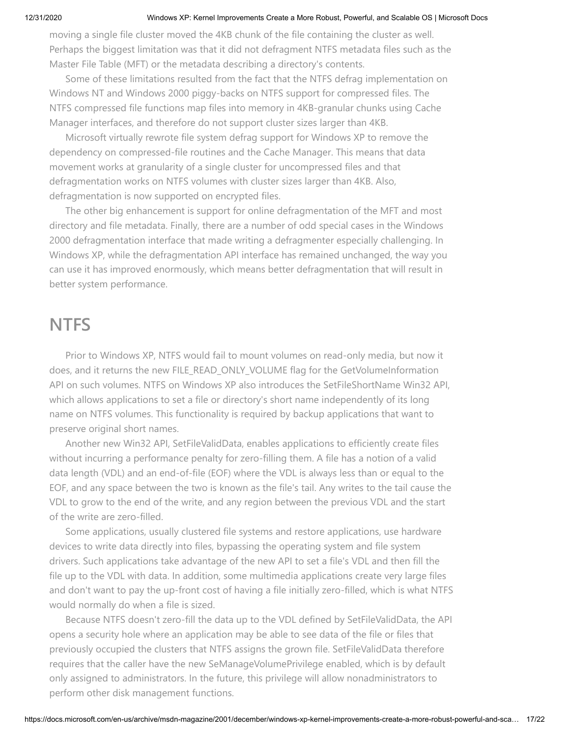moving a single file cluster moved the 4KB chunk of the file containing the cluster as well. Perhaps the biggest limitation was that it did not defragment NTFS metadata files such as the Master File Table (MFT) or the metadata describing a directory's contents.

 Some of these limitations resulted from the fact that the NTFS defrag implementation on Windows NT and Windows 2000 piggy-backs on NTFS support for compressed files. The NTFS compressed file functions map files into memory in 4KB-granular chunks using Cache Manager interfaces, and therefore do not support cluster sizes larger than 4KB.

 Microsoft virtually rewrote file system defrag support for Windows XP to remove the dependency on compressed-file routines and the Cache Manager. This means that data movement works at granularity of a single cluster for uncompressed files and that defragmentation works on NTFS volumes with cluster sizes larger than 4KB. Also, defragmentation is now supported on encrypted files.

 The other big enhancement is support for online defragmentation of the MFT and most directory and file metadata. Finally, there are a number of odd special cases in the Windows 2000 defragmentation interface that made writing a defragmenter especially challenging. In Windows XP, while the defragmentation API interface has remained unchanged, the way you can use it has improved enormously, which means better defragmentation that will result in better system performance.

### **NTFS**

 Prior to Windows XP, NTFS would fail to mount volumes on read-only media, but now it does, and it returns the new FILE\_READ\_ONLY\_VOLUME flag for the GetVolumeInformation API on such volumes. NTFS on Windows XP also introduces the SetFileShortName Win32 API, which allows applications to set a file or directory's short name independently of its long name on NTFS volumes. This functionality is required by backup applications that want to preserve original short names.

 Another new Win32 API, SetFileValidData, enables applications to efficiently create files without incurring a performance penalty for zero-filling them. A file has a notion of a valid data length (VDL) and an end-of-file (EOF) where the VDL is always less than or equal to the EOF, and any space between the two is known as the file's tail. Any writes to the tail cause the VDL to grow to the end of the write, and any region between the previous VDL and the start of the write are zero-filled.

 Some applications, usually clustered file systems and restore applications, use hardware devices to write data directly into files, bypassing the operating system and file system drivers. Such applications take advantage of the new API to set a file's VDL and then fill the file up to the VDL with data. In addition, some multimedia applications create very large files and don't want to pay the up-front cost of having a file initially zero-filled, which is what NTFS would normally do when a file is sized.

 Because NTFS doesn't zero-fill the data up to the VDL defined by SetFileValidData, the API opens a security hole where an application may be able to see data of the file or files that previously occupied the clusters that NTFS assigns the grown file. SetFileValidData therefore requires that the caller have the new SeManageVolumePrivilege enabled, which is by default only assigned to administrators. In the future, this privilege will allow nonadministrators to perform other disk management functions.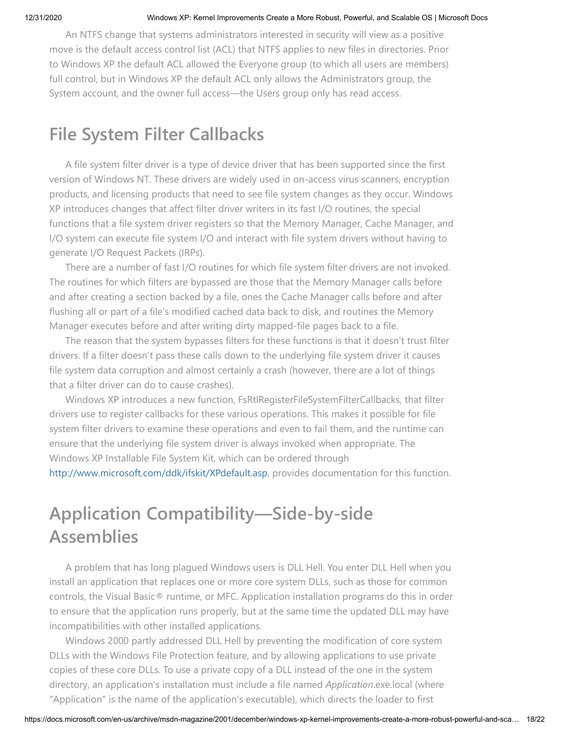An NTFS change that systems administrators interested in security will view as a positive move is the default access control list (ACL) that NTFS applies to new files in directories. Prior to Windows XP the default ACL allowed the Everyone group (to which all users are members) full control, but in Windows XP the default ACL only allows the Administrators group, the System account, and the owner full access—the Users group only has read access.

### **File System Filter Callbacks**

 A file system filter driver is a type of device driver that has been supported since the first version of Windows NT. These drivers are widely used in on-access virus scanners, encryption products, and licensing products that need to see file system changes as they occur. Windows XP introduces changes that affect filter driver writers in its fast I/O routines, the special functions that a file system driver registers so that the Memory Manager, Cache Manager, and I/O system can execute file system I/O and interact with file system drivers without having to generate I/O Request Packets (IRPs).

 There are a number of fast I/O routines for which file system filter drivers are not invoked. The routines for which filters are bypassed are those that the Memory Manager calls before and after creating a section backed by a file, ones the Cache Manager calls before and after flushing all or part of a file's modified cached data back to disk, and routines the Memory Manager executes before and after writing dirty mapped-file pages back to a file.

 The reason that the system bypasses filters for these functions is that it doesn't trust filter drivers. If a filter doesn't pass these calls down to the underlying file system driver it causes file system data corruption and almost certainly a crash (however, there are a lot of things that a filter driver can do to cause crashes).

 Windows XP introduces a new function, FsRtlRegisterFileSystemFilterCallbacks, that filter drivers use to register callbacks for these various operations. This makes it possible for file system filter drivers to examine these operations and even to fail them, and the runtime can ensure that the underlying file system driver is always invoked when appropriate. The Windows XP Installable File System Kit, which can be ordered through [http://www.microsoft.com/ddk/ifskit/XPdefault.asp,](http://www.microsoft.com/ddk/ifskit/XPdefault.asp) provides documentation for this function.

## **Application Compatibility—Side-by-side Assemblies**

 A problem that has long plagued Windows users is DLL Hell. You enter DLL Hell when you install an application that replaces one or more core system DLLs, such as those for common controls, the Visual Basic® runtime, or MFC. Application installation programs do this in order to ensure that the application runs properly, but at the same time the updated DLL may have incompatibilities with other installed applications.

 Windows 2000 partly addressed DLL Hell by preventing the modification of core system DLLs with the Windows File Protection feature, and by allowing applications to use private copies of these core DLLs. To use a private copy of a DLL instead of the one in the system directory, an application's installation must include a file named *Application*.exe.local (where "Application" is the name of the application's executable), which directs the loader to first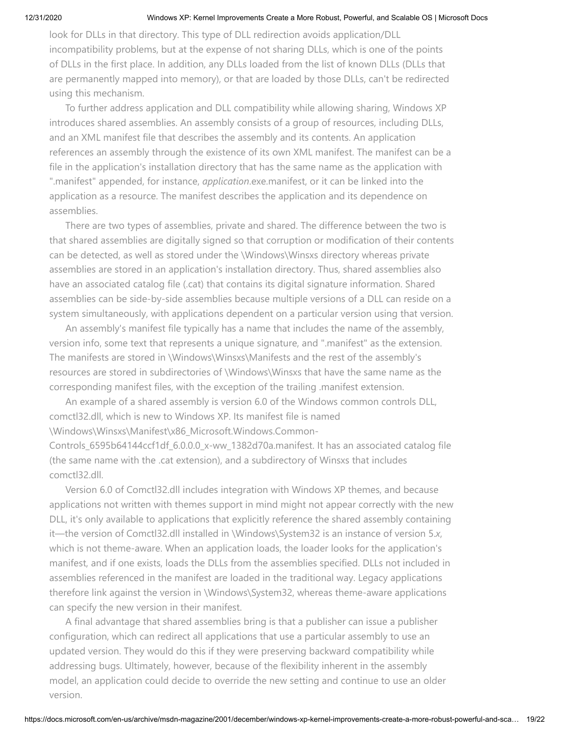look for DLLs in that directory. This type of DLL redirection avoids application/DLL incompatibility problems, but at the expense of not sharing DLLs, which is one of the points of DLLs in the first place. In addition, any DLLs loaded from the list of known DLLs (DLLs that are permanently mapped into memory), or that are loaded by those DLLs, can't be redirected using this mechanism.

 To further address application and DLL compatibility while allowing sharing, Windows XP introduces shared assemblies. An assembly consists of a group of resources, including DLLs, and an XML manifest file that describes the assembly and its contents. An application references an assembly through the existence of its own XML manifest. The manifest can be a file in the application's installation directory that has the same name as the application with ".manifest" appended, for instance, *application*.exe.manifest, or it can be linked into the application as a resource. The manifest describes the application and its dependence on assemblies.

 There are two types of assemblies, private and shared. The difference between the two is that shared assemblies are digitally signed so that corruption or modification of their contents can be detected, as well as stored under the \Windows\Winsxs directory whereas private assemblies are stored in an application's installation directory. Thus, shared assemblies also have an associated catalog file (.cat) that contains its digital signature information. Shared assemblies can be side-by-side assemblies because multiple versions of a DLL can reside on a system simultaneously, with applications dependent on a particular version using that version.

 An assembly's manifest file typically has a name that includes the name of the assembly, version info, some text that represents a unique signature, and ".manifest" as the extension. The manifests are stored in \Windows\Winsxs\Manifests and the rest of the assembly's resources are stored in subdirectories of \Windows\Winsxs that have the same name as the corresponding manifest files, with the exception of the trailing .manifest extension.

 An example of a shared assembly is version 6.0 of the Windows common controls DLL, comctl32.dll, which is new to Windows XP. Its manifest file is named \Windows\Winsxs\Manifest\x86\_Microsoft.Windows.Common-

Controls\_6595b64144ccf1df\_6.0.0.0\_x-ww\_1382d70a.manifest. It has an associated catalog file (the same name with the .cat extension), and a subdirectory of Winsxs that includes comctl32.dll.

 Version 6.0 of Comctl32.dll includes integration with Windows XP themes, and because applications not written with themes support in mind might not appear correctly with the new DLL, it's only available to applications that explicitly reference the shared assembly containing it—the version of Comctl32.dll installed in \Windows\System32 is an instance of version 5.*x*, which is not theme-aware. When an application loads, the loader looks for the application's manifest, and if one exists, loads the DLLs from the assemblies specified. DLLs not included in assemblies referenced in the manifest are loaded in the traditional way. Legacy applications therefore link against the version in \Windows\System32, whereas theme-aware applications can specify the new version in their manifest.

 A final advantage that shared assemblies bring is that a publisher can issue a publisher configuration, which can redirect all applications that use a particular assembly to use an updated version. They would do this if they were preserving backward compatibility while addressing bugs. Ultimately, however, because of the flexibility inherent in the assembly model, an application could decide to override the new setting and continue to use an older version.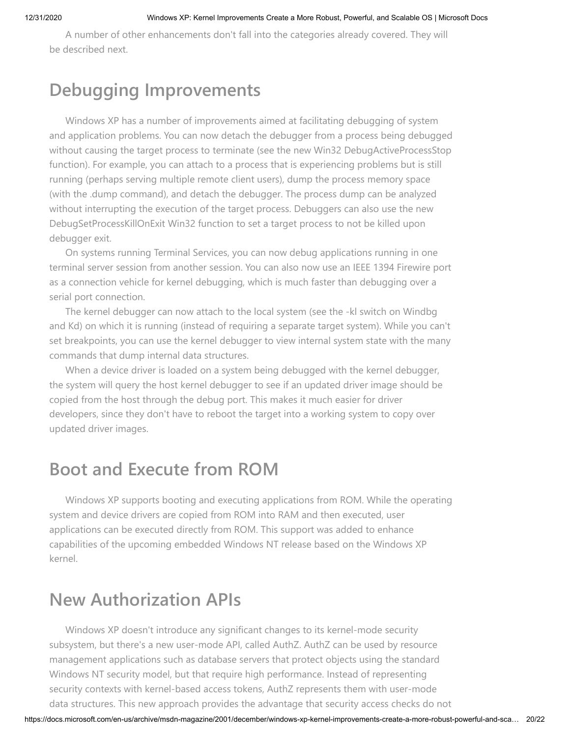A number of other enhancements don't fall into the categories already covered. They will be described next.

## **Debugging Improvements**

 Windows XP has a number of improvements aimed at facilitating debugging of system and application problems. You can now detach the debugger from a process being debugged without causing the target process to terminate (see the new Win32 DebugActiveProcessStop function). For example, you can attach to a process that is experiencing problems but is still running (perhaps serving multiple remote client users), dump the process memory space (with the .dump command), and detach the debugger. The process dump can be analyzed without interrupting the execution of the target process. Debuggers can also use the new DebugSetProcessKillOnExit Win32 function to set a target process to not be killed upon debugger exit.

 On systems running Terminal Services, you can now debug applications running in one terminal server session from another session. You can also now use an IEEE 1394 Firewire port as a connection vehicle for kernel debugging, which is much faster than debugging over a serial port connection.

 The kernel debugger can now attach to the local system (see the -kl switch on Windbg and Kd) on which it is running (instead of requiring a separate target system). While you can't set breakpoints, you can use the kernel debugger to view internal system state with the many commands that dump internal data structures.

 When a device driver is loaded on a system being debugged with the kernel debugger, the system will query the host kernel debugger to see if an updated driver image should be copied from the host through the debug port. This makes it much easier for driver developers, since they don't have to reboot the target into a working system to copy over updated driver images.

### **Boot and Execute from ROM**

 Windows XP supports booting and executing applications from ROM. While the operating system and device drivers are copied from ROM into RAM and then executed, user applications can be executed directly from ROM. This support was added to enhance capabilities of the upcoming embedded Windows NT release based on the Windows XP kernel.

### **New Authorization APIs**

 Windows XP doesn't introduce any significant changes to its kernel-mode security subsystem, but there's a new user-mode API, called AuthZ. AuthZ can be used by resource management applications such as database servers that protect objects using the standard Windows NT security model, but that require high performance. Instead of representing security contexts with kernel-based access tokens, AuthZ represents them with user-mode data structures. This new approach provides the advantage that security access checks do not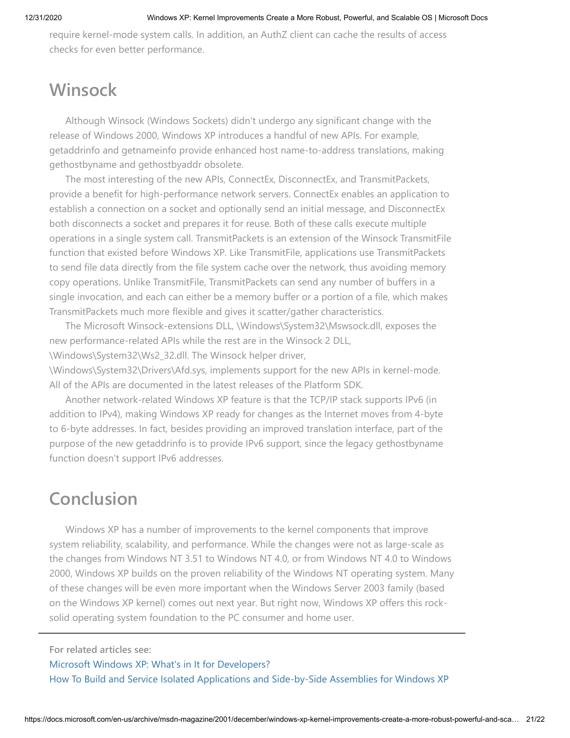require kernel-mode system calls. In addition, an AuthZ client can cache the results of access checks for even better performance.

## **Winsock**

 Although Winsock (Windows Sockets) didn't undergo any significant change with the release of Windows 2000, Windows XP introduces a handful of new APIs. For example, getaddrinfo and getnameinfo provide enhanced host name-to-address translations, making gethostbyname and gethostbyaddr obsolete.

 The most interesting of the new APIs, ConnectEx, DisconnectEx, and TransmitPackets, provide a benefit for high-performance network servers. ConnectEx enables an application to establish a connection on a socket and optionally send an initial message, and DisconnectEx both disconnects a socket and prepares it for reuse. Both of these calls execute multiple operations in a single system call. TransmitPackets is an extension of the Winsock TransmitFile function that existed before Windows XP. Like TransmitFile, applications use TransmitPackets to send file data directly from the file system cache over the network, thus avoiding memory copy operations. Unlike TransmitFile, TransmitPackets can send any number of buffers in a single invocation, and each can either be a memory buffer or a portion of a file, which makes TransmitPackets much more flexible and gives it scatter/gather characteristics.

 The Microsoft Winsock-extensions DLL, \Windows\System32\Mswsock.dll, exposes the new performance-related APIs while the rest are in the Winsock 2 DLL, \Windows\System32\Ws2\_32.dll. The Winsock helper driver,

\Windows\System32\Drivers\Afd.sys, implements support for the new APIs in kernel-mode. All of the APIs are documented in the latest releases of the Platform SDK.

 Another network-related Windows XP feature is that the TCP/IP stack supports IPv6 (in addition to IPv4), making Windows XP ready for changes as the Internet moves from 4-byte to 6-byte addresses. In fact, besides providing an improved translation interface, part of the purpose of the new getaddrinfo is to provide IPv6 support, since the legacy gethostbyname function doesn't support IPv6 addresses.

## **Conclusion**

 Windows XP has a number of improvements to the kernel components that improve system reliability, scalability, and performance. While the changes were not as large-scale as the changes from Windows NT 3.51 to Windows NT 4.0, or from Windows NT 4.0 to Windows 2000, Windows XP builds on the proven reliability of the Windows NT operating system. Many of these changes will be even more important when the Windows Server 2003 family (based on the Windows XP kernel) comes out next year. But right now, Windows XP offers this rocksolid operating system foundation to the PC consumer and home user.

**For related articles see:**

[Microsoft Windows XP: What's in It for Developers?](https://technet.microsoft.com/en-us/AssetId:winxpintro) [How To Build and Service Isolated Applications and Side-by-Side Assemblies for Windows XP](https://technet.microsoft.com/en-us/AssetId:sidexsidewinxp)